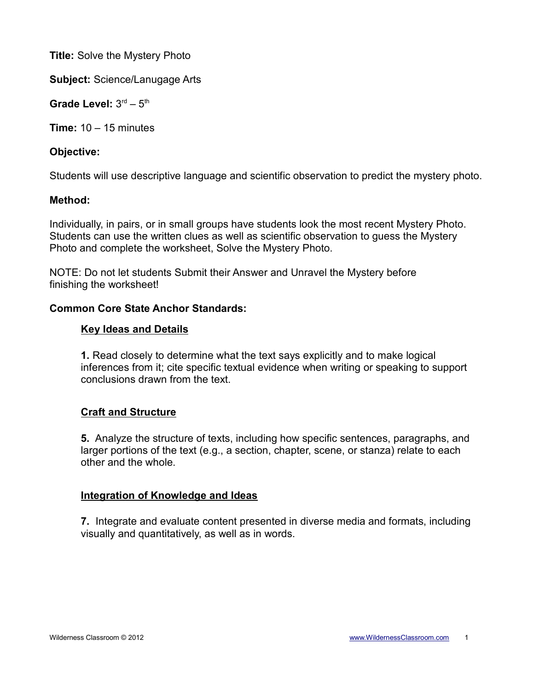**Title:** Solve the Mystery Photo

**Subject:** Science/Lanugage Arts

Grade Level:  $3<sup>rd</sup> - 5<sup>th</sup>$ 

**Time:** 10 – 15 minutes

## **Objective:**

Students will use descriptive language and scientific observation to predict the mystery photo.

## **Method:**

Individually, in pairs, or in small groups have students look the most recent Mystery Photo. Students can use the written clues as well as scientific observation to guess the Mystery Photo and complete the worksheet, Solve the Mystery Photo.

NOTE: Do not let students Submit their Answer and Unravel the Mystery before finishing the worksheet!

## **Common Core State Anchor Standards:**

## **Key Ideas and Details**

**1.** Read closely to determine what the text says explicitly and to make logical inferences from it; cite specific textual evidence when writing or speaking to support conclusions drawn from the text.

# **Craft and Structure**

**5.** Analyze the structure of texts, including how specific sentences, paragraphs, and larger portions of the text (e.g., a section, chapter, scene, or stanza) relate to each other and the whole.

#### **Integration of Knowledge and Ideas**

**7.** Integrate and evaluate content presented in diverse media and formats, including visually and quantitatively, as well as in words.